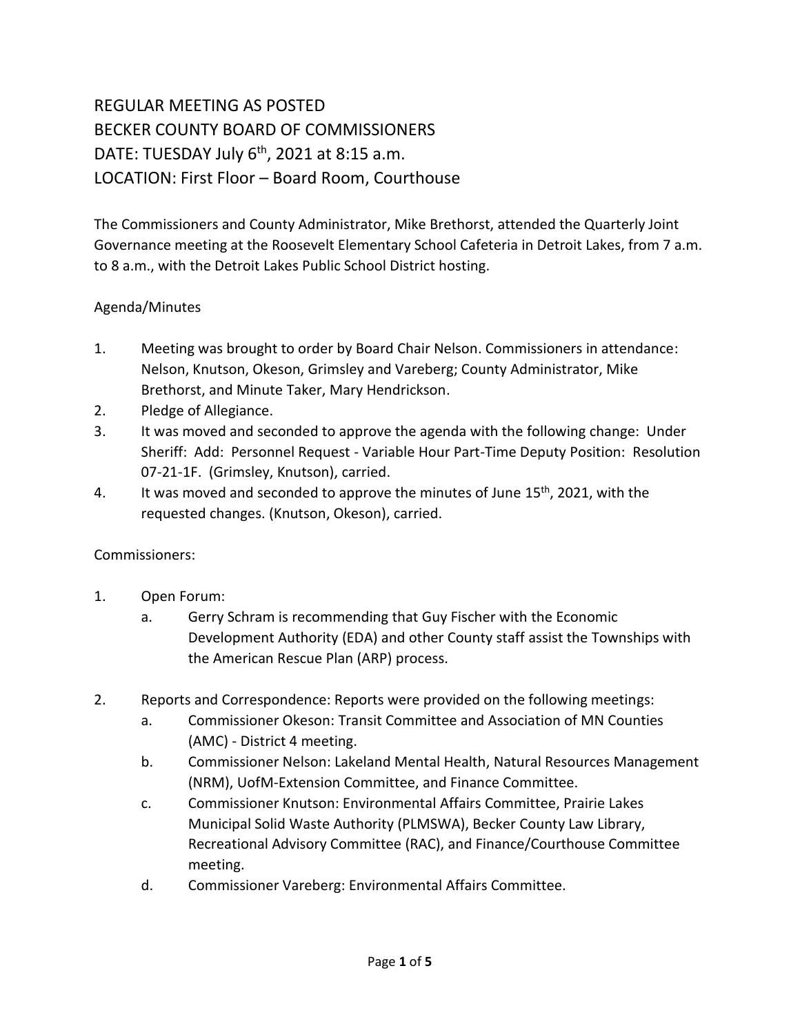# REGULAR MEETING AS POSTED BECKER COUNTY BOARD OF COMMISSIONERS DATE: TUESDAY July 6<sup>th</sup>, 2021 at 8:15 a.m. LOCATION: First Floor – Board Room, Courthouse

The Commissioners and County Administrator, Mike Brethorst, attended the Quarterly Joint Governance meeting at the Roosevelt Elementary School Cafeteria in Detroit Lakes, from 7 a.m. to 8 a.m., with the Detroit Lakes Public School District hosting.

## Agenda/Minutes

- 1. Meeting was brought to order by Board Chair Nelson. Commissioners in attendance: Nelson, Knutson, Okeson, Grimsley and Vareberg; County Administrator, Mike Brethorst, and Minute Taker, Mary Hendrickson.
- 2. Pledge of Allegiance.
- 3. It was moved and seconded to approve the agenda with the following change: Under Sheriff: Add: Personnel Request - Variable Hour Part-Time Deputy Position: Resolution 07-21-1F. (Grimsley, Knutson), carried.
- 4. It was moved and seconded to approve the minutes of June  $15<sup>th</sup>$ , 2021, with the requested changes. (Knutson, Okeson), carried.

### Commissioners:

- 1. Open Forum:
	- a. Gerry Schram is recommending that Guy Fischer with the Economic Development Authority (EDA) and other County staff assist the Townships with the American Rescue Plan (ARP) process.
- 2. Reports and Correspondence: Reports were provided on the following meetings:
	- a. Commissioner Okeson: Transit Committee and Association of MN Counties (AMC) - District 4 meeting.
	- b. Commissioner Nelson: Lakeland Mental Health, Natural Resources Management (NRM), UofM-Extension Committee, and Finance Committee.
	- c. Commissioner Knutson: Environmental Affairs Committee, Prairie Lakes Municipal Solid Waste Authority (PLMSWA), Becker County Law Library, Recreational Advisory Committee (RAC), and Finance/Courthouse Committee meeting.
	- d. Commissioner Vareberg: Environmental Affairs Committee.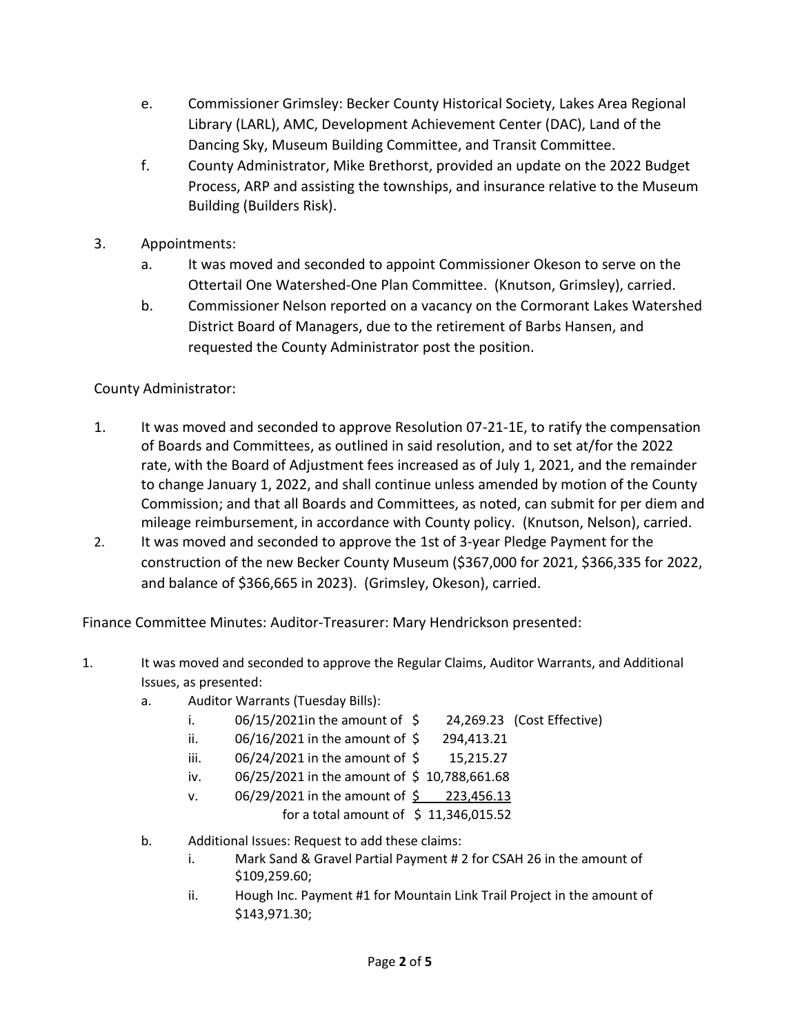- e. Commissioner Grimsley: Becker County Historical Society, Lakes Area Regional Library (LARL), AMC, Development Achievement Center (DAC), Land of the Dancing Sky, Museum Building Committee, and Transit Committee.
- f. County Administrator, Mike Brethorst, provided an update on the 2022 Budget Process, ARP and assisting the townships, and insurance relative to the Museum Building (Builders Risk).
- 3. Appointments:
	- a. It was moved and seconded to appoint Commissioner Okeson to serve on the Ottertail One Watershed-One Plan Committee. (Knutson, Grimsley), carried.
	- b. Commissioner Nelson reported on a vacancy on the Cormorant Lakes Watershed District Board of Managers, due to the retirement of Barbs Hansen, and requested the County Administrator post the position.

## County Administrator:

- 1. It was moved and seconded to approve Resolution 07-21-1E, to ratify the compensation of Boards and Committees, as outlined in said resolution, and to set at/for the 2022 rate, with the Board of Adjustment fees increased as of July 1, 2021, and the remainder to change January 1, 2022, and shall continue unless amended by motion of the County Commission; and that all Boards and Committees, as noted, can submit for per diem and mileage reimbursement, in accordance with County policy. (Knutson, Nelson), carried.
- 2. It was moved and seconded to approve the 1st of 3-year Pledge Payment for the construction of the new Becker County Museum (\$367,000 for 2021, \$366,335 for 2022, and balance of \$366,665 in 2023). (Grimsley, Okeson), carried.

Finance Committee Minutes: Auditor-Treasurer: Mary Hendrickson presented:

- 1. It was moved and seconded to approve the Regular Claims, Auditor Warrants, and Additional Issues, as presented:
	- a. Auditor Warrants (Tuesday Bills):
		- i.  $06/15/2021$  in the amount of  $\sim$  24,269.23 (Cost Effective)
		- ii.  $06/16/2021$  in the amount of  $\frac{6}{5}$  294,413.21
		- iii. 06/24/2021 in the amount of \$ 15,215.27
		- iv.  $06/25/2021$  in the amount of \$10,788,661.68
		- v. 06/29/2021 in the amount of \$ 223,456.13
			- for a total amount of  $\;$ \$ 11,346,015.52
	- b. Additional Issues: Request to add these claims:
		- i. Mark Sand & Gravel Partial Payment # 2 for CSAH 26 in the amount of \$109,259.60;
		- ii. Hough Inc. Payment #1 for Mountain Link Trail Project in the amount of \$143,971.30;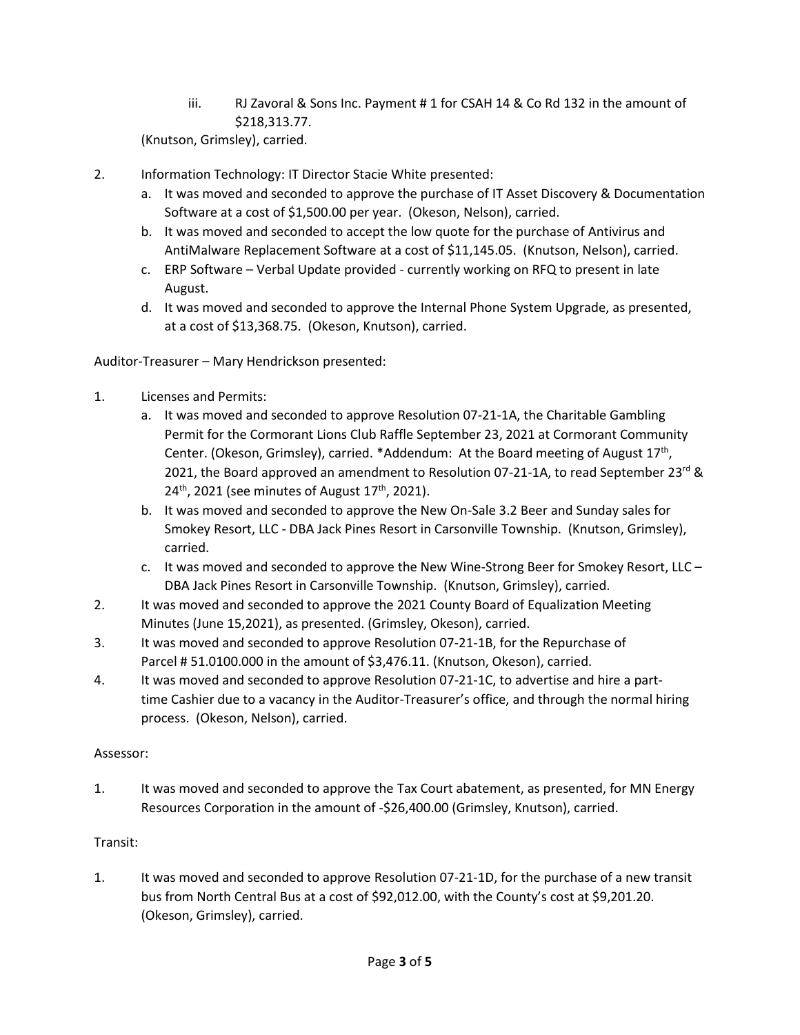iii. RJ Zavoral & Sons Inc. Payment # 1 for CSAH 14 & Co Rd 132 in the amount of \$218,313.77.

(Knutson, Grimsley), carried.

- 2. Information Technology: IT Director Stacie White presented:
	- a. It was moved and seconded to approve the purchase of IT Asset Discovery & Documentation Software at a cost of \$1,500.00 per year. (Okeson, Nelson), carried.
	- b. It was moved and seconded to accept the low quote for the purchase of Antivirus and AntiMalware Replacement Software at a cost of \$11,145.05. (Knutson, Nelson), carried.
	- c. ERP Software Verbal Update provided currently working on RFQ to present in late August.
	- d. It was moved and seconded to approve the Internal Phone System Upgrade, as presented, at a cost of \$13,368.75. (Okeson, Knutson), carried.

Auditor-Treasurer – Mary Hendrickson presented:

- 1. Licenses and Permits:
	- a. It was moved and seconded to approve Resolution 07-21-1A, the Charitable Gambling Permit for the Cormorant Lions Club Raffle September 23, 2021 at Cormorant Community Center. (Okeson, Grimsley), carried. \*Addendum: At the Board meeting of August 17<sup>th</sup>, 2021, the Board approved an amendment to Resolution 07-21-1A, to read September 23<sup>rd</sup> &  $24<sup>th</sup>$ , 2021 (see minutes of August 17<sup>th</sup>, 2021).
	- b. It was moved and seconded to approve the New On-Sale 3.2 Beer and Sunday sales for Smokey Resort, LLC - DBA Jack Pines Resort in Carsonville Township. (Knutson, Grimsley), carried.
	- c. It was moved and seconded to approve the New Wine-Strong Beer for Smokey Resort, LLC DBA Jack Pines Resort in Carsonville Township. (Knutson, Grimsley), carried.
- 2. It was moved and seconded to approve the 2021 County Board of Equalization Meeting Minutes (June 15,2021), as presented. (Grimsley, Okeson), carried.
- 3. It was moved and seconded to approve Resolution 07-21-1B, for the Repurchase of Parcel # 51.0100.000 in the amount of \$3,476.11. (Knutson, Okeson), carried.
- 4. It was moved and seconded to approve Resolution 07-21-1C, to advertise and hire a parttime Cashier due to a vacancy in the Auditor-Treasurer's office, and through the normal hiring process. (Okeson, Nelson), carried.

#### Assessor:

1. It was moved and seconded to approve the Tax Court abatement, as presented, for MN Energy Resources Corporation in the amount of -\$26,400.00 (Grimsley, Knutson), carried.

#### Transit:

1. It was moved and seconded to approve Resolution 07-21-1D, for the purchase of a new transit bus from North Central Bus at a cost of \$92,012.00, with the County's cost at \$9,201.20. (Okeson, Grimsley), carried.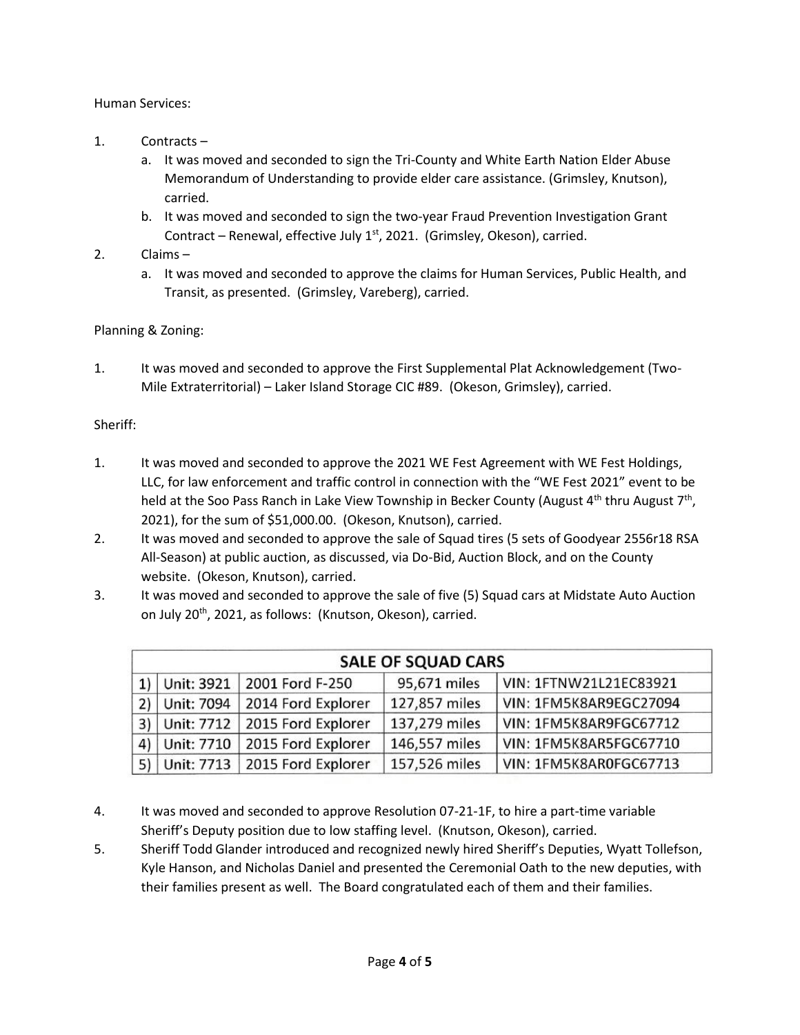Human Services:

- 1. Contracts
	- a. It was moved and seconded to sign the Tri-County and White Earth Nation Elder Abuse Memorandum of Understanding to provide elder care assistance. (Grimsley, Knutson), carried.
	- b. It was moved and seconded to sign the two-year Fraud Prevention Investigation Grant Contract – Renewal, effective July  $1<sup>st</sup>$ , 2021. (Grimsley, Okeson), carried.
- 2. Claims
	- a. It was moved and seconded to approve the claims for Human Services, Public Health, and Transit, as presented. (Grimsley, Vareberg), carried.

#### Planning & Zoning:

1. It was moved and seconded to approve the First Supplemental Plat Acknowledgement (Two-Mile Extraterritorial) – Laker Island Storage CIC #89. (Okeson, Grimsley), carried.

#### Sheriff:

- 1. It was moved and seconded to approve the 2021 WE Fest Agreement with WE Fest Holdings, LLC, for law enforcement and traffic control in connection with the "WE Fest 2021" event to be held at the Soo Pass Ranch in Lake View Township in Becker County (August 4<sup>th</sup> thru August 7<sup>th</sup>, 2021), for the sum of \$51,000.00. (Okeson, Knutson), carried.
- 2. It was moved and seconded to approve the sale of Squad tires (5 sets of Goodyear 2556r18 RSA All-Season) at public auction, as discussed, via Do-Bid, Auction Block, and on the County website. (Okeson, Knutson), carried.
- 3. It was moved and seconded to approve the sale of five (5) Squad cars at Midstate Auto Auction on July 20<sup>th</sup>, 2021, as follows: (Knutson, Okeson), carried.

| <b>SALE OF SQUAD CARS</b> |            |                                    |               |                        |
|---------------------------|------------|------------------------------------|---------------|------------------------|
|                           |            | 1) Unit: 3921   2001 Ford F-250    | 95,671 miles  | VIN: 1FTNW21L21EC83921 |
| (2)                       | Unit: 7094 | 2014 Ford Explorer                 | 127,857 miles | VIN: 1FM5K8AR9EGC27094 |
| 3)                        |            | Unit: 7712   2015 Ford Explorer    | 137,279 miles | VIN: 1FM5K8AR9FGC67712 |
| 4)                        |            | Unit: 7710   2015 Ford Explorer    | 146,557 miles | VIN: 1FM5K8AR5FGC67710 |
|                           |            | 5) Unit: 7713   2015 Ford Explorer | 157,526 miles | VIN: 1FM5K8AR0FGC67713 |

- 4. It was moved and seconded to approve Resolution 07-21-1F, to hire a part-time variable Sheriff's Deputy position due to low staffing level. (Knutson, Okeson), carried.
- 5. Sheriff Todd Glander introduced and recognized newly hired Sheriff's Deputies, Wyatt Tollefson, Kyle Hanson, and Nicholas Daniel and presented the Ceremonial Oath to the new deputies, with their families present as well. The Board congratulated each of them and their families.